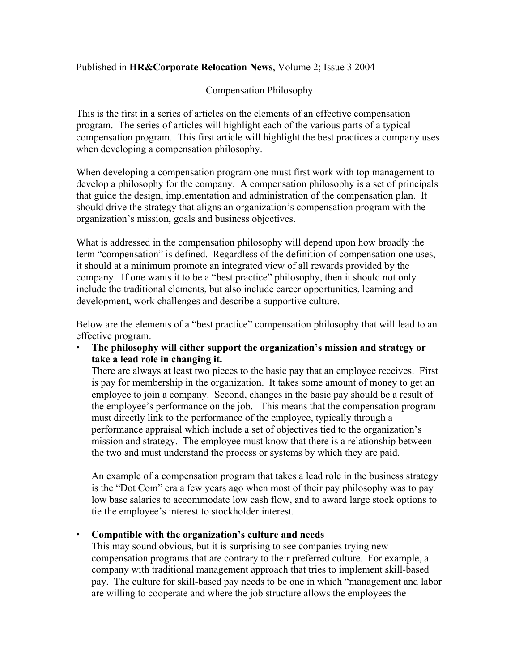## Published in HR&Corporate Relocation News, Volume 2; Issue 3 2004

## Compensation Philosophy

This is the first in a series of articles on the elements of an effective compensation program. The series of articles will highlight each of the various parts of a typical compensation program. This first article will highlight the best practices a company uses when developing a compensation philosophy.

When developing a compensation program one must first work with top management to develop a philosophy for the company. A compensation philosophy is a set of principals that guide the design, implementation and administration of the compensation plan. It should drive the strategy that aligns an organization's compensation program with the organization's mission, goals and business objectives.

What is addressed in the compensation philosophy will depend upon how broadly the term "compensation" is defined. Regardless of the definition of compensation one uses, it should at a minimum promote an integrated view of all rewards provided by the company. If one wants it to be a "best practice" philosophy, then it should not only include the traditional elements, but also include career opportunities, learning and development, work challenges and describe a supportive culture.

Below are the elements of a "best practice" compensation philosophy that will lead to an effective program.

#### • The philosophy will either support the organization's mission and strategy or take a lead role in changing it.

There are always at least two pieces to the basic pay that an employee receives. First is pay for membership in the organization. It takes some amount of money to get an employee to join a company. Second, changes in the basic pay should be a result of the employee's performance on the job. This means that the compensation program must directly link to the performance of the employee, typically through a performance appraisal which include a set of objectives tied to the organization's mission and strategy. The employee must know that there is a relationship between the two and must understand the process or systems by which they are paid.

An example of a compensation program that takes a lead role in the business strategy is the "Dot Com" era a few years ago when most of their pay philosophy was to pay low base salaries to accommodate low cash flow, and to award large stock options to tie the employee's interest to stockholder interest.

#### • Compatible with the organization's culture and needs

This may sound obvious, but it is surprising to see companies trying new compensation programs that are contrary to their preferred culture. For example, a company with traditional management approach that tries to implement skill-based pay. The culture for skill-based pay needs to be one in which "management and labor are willing to cooperate and where the job structure allows the employees the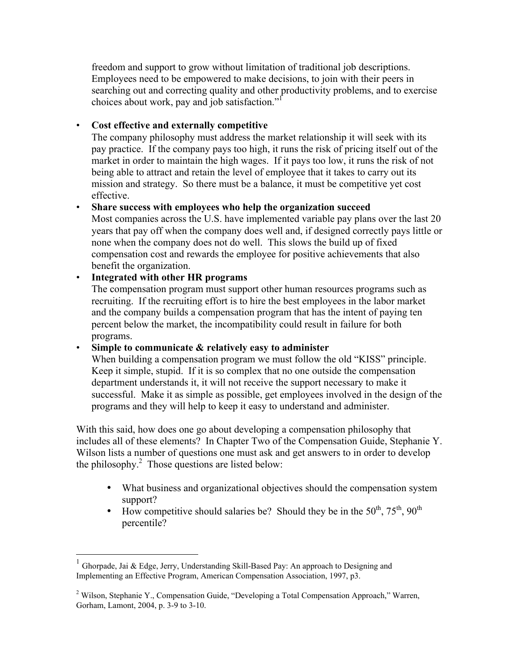freedom and support to grow without limitation of traditional job descriptions. Employees need to be empowered to make decisions, to join with their peers in searching out and correcting quality and other productivity problems, and to exercise choices about work, pay and job satisfaction."

#### • Cost effective and externally competitive

The company philosophy must address the market relationship it will seek with its pay practice. If the company pays too high, it runs the risk of pricing itself out of the market in order to maintain the high wages. If it pays too low, it runs the risk of not being able to attract and retain the level of employee that it takes to carry out its mission and strategy. So there must be a balance, it must be competitive yet cost effective.

# • Share success with employees who help the organization succeed

Most companies across the U.S. have implemented variable pay plans over the last 20 years that pay off when the company does well and, if designed correctly pays little or none when the company does not do well. This slows the build up of fixed compensation cost and rewards the employee for positive achievements that also benefit the organization.

## • Integrated with other HR programs

The compensation program must support other human resources programs such as recruiting. If the recruiting effort is to hire the best employees in the labor market and the company builds a compensation program that has the intent of paying ten percent below the market, the incompatibility could result in failure for both programs.

#### • Simple to communicate & relatively easy to administer

When building a compensation program we must follow the old "KISS" principle. Keep it simple, stupid. If it is so complex that no one outside the compensation department understands it, it will not receive the support necessary to make it successful. Make it as simple as possible, get employees involved in the design of the programs and they will help to keep it easy to understand and administer.

With this said, how does one go about developing a compensation philosophy that includes all of these elements? In Chapter Two of the Compensation Guide, Stephanie Y. Wilson lists a number of questions one must ask and get answers to in order to develop the philosophy. $2$  Those questions are listed below:

- What business and organizational objectives should the compensation system support?
- How competitive should salaries be? Should they be in the  $50^{th}$ ,  $75^{th}$ ,  $90^{th}$ percentile?

<sup>&</sup>lt;sup>1</sup> Ghorpade, Jai & Edge, Jerry, Understanding Skill-Based Pay: An approach to Designing and Implementing an Effective Program, American Compensation Association, 1997, p3.

<sup>&</sup>lt;sup>2</sup> Wilson, Stephanie Y., Compensation Guide, "Developing a Total Compensation Approach," Warren, Gorham, Lamont, 2004, p. 3-9 to 3-10.